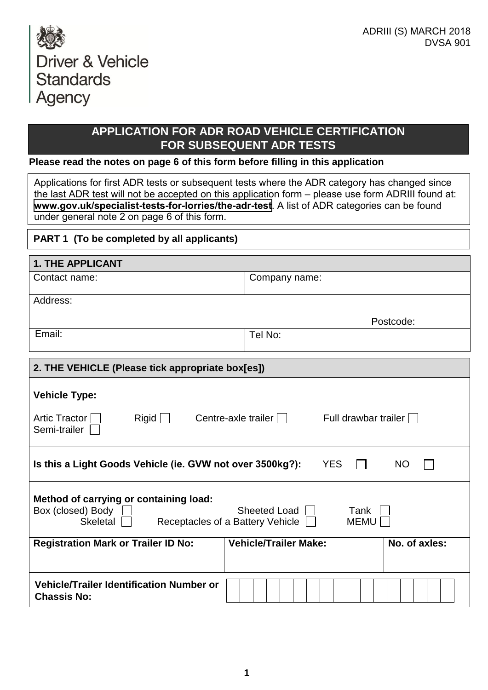

## **APPLICATION FOR ADR ROAD VEHICLE CERTIFICATION FOR SUBSEQUENT ADR TESTS**

#### **Please read the notes on page 6 of this form before filling in this application**

Applications for first ADR tests or subsequent tests where the ADR category has changed since the last ADR test will not be accepted on this application form – please use form ADRIII found at: **<www.gov.uk/specialist-tests-for-lorries/the-adr-test>**. A list of ADR categories can be found under general note 2 on page 6 of this form.

## **PART 1 (To be completed by all applicants)**

| <b>1. THE APPLICANT</b>                                                                                                                                  |                                                 |  |
|----------------------------------------------------------------------------------------------------------------------------------------------------------|-------------------------------------------------|--|
| Contact name:                                                                                                                                            | Company name:                                   |  |
| Address:                                                                                                                                                 |                                                 |  |
|                                                                                                                                                          | Postcode:                                       |  |
| Email:                                                                                                                                                   | Tel No:                                         |  |
|                                                                                                                                                          |                                                 |  |
| 2. THE VEHICLE (Please tick appropriate box[es])                                                                                                         |                                                 |  |
| <b>Vehicle Type:</b>                                                                                                                                     |                                                 |  |
| Artic Tractor  <br>$\lvert$ Rigid $\lvert$<br>Semi-trailer                                                                                               | Centre-axle trailer    <br>Full drawbar trailer |  |
| Is this a Light Goods Vehicle (ie. GVW not over 3500kg?):<br><b>YES</b><br><b>NO</b>                                                                     |                                                 |  |
| Method of carrying or containing load:<br>Box (closed) Body<br>Sheeted Load    <br>Tank<br>Skeletal<br>Receptacles of a Battery Vehicle [<br><b>MEMU</b> |                                                 |  |
| <b>Registration Mark or Trailer ID No:</b>                                                                                                               | <b>Vehicle/Trailer Make:</b><br>No. of axles:   |  |
|                                                                                                                                                          |                                                 |  |
| <b>Vehicle/Trailer Identification Number or</b><br><b>Chassis No:</b>                                                                                    |                                                 |  |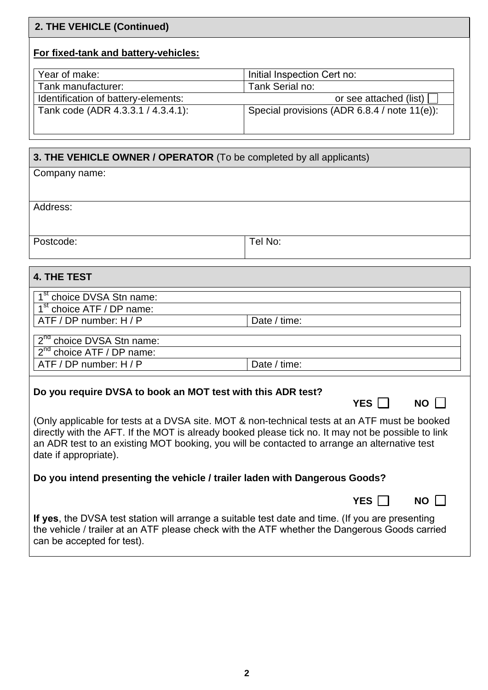# **2. THE VEHICLE (Continued)**

# **For fixed-tank and battery-vehicles:**

| Year of make:                       | Initial Inspection Cert no:                  |
|-------------------------------------|----------------------------------------------|
| Tank manufacturer:                  | Tank Serial no:                              |
| Identification of battery-elements: | or see attached (list) $\Box$                |
| Tank code (ADR 4.3.3.1 / 4.3.4.1):  | Special provisions (ADR 6.8.4 / note 11(e)): |
|                                     |                                              |

| 3. THE VEHICLE OWNER / OPERATOR (To be completed by all applicants)                                                                                                                                                             |                     |  |
|---------------------------------------------------------------------------------------------------------------------------------------------------------------------------------------------------------------------------------|---------------------|--|
| Company name:                                                                                                                                                                                                                   |                     |  |
|                                                                                                                                                                                                                                 |                     |  |
| Address:                                                                                                                                                                                                                        |                     |  |
| Postcode:                                                                                                                                                                                                                       | Tel No:             |  |
|                                                                                                                                                                                                                                 |                     |  |
| <b>4. THE TEST</b>                                                                                                                                                                                                              |                     |  |
| 1 <sup>st</sup> choice DVSA Stn name:                                                                                                                                                                                           |                     |  |
| $1st$ choice ATF / DP name:<br>ATF / DP number: H / P                                                                                                                                                                           | Date / time:        |  |
|                                                                                                                                                                                                                                 |                     |  |
| 2 <sup>nd</sup> choice DVSA Stn name:                                                                                                                                                                                           |                     |  |
| $2^{nd}$ choice ATF / DP name:                                                                                                                                                                                                  | Date / time:        |  |
| ATF / DP number: H / P                                                                                                                                                                                                          |                     |  |
| Do you require DVSA to book an MOT test with this ADR test?                                                                                                                                                                     |                     |  |
|                                                                                                                                                                                                                                 | YES I<br><b>NO</b>  |  |
| (Only applicable for tests at a DVSA site. MOT & non-technical tests at an ATF must be booked                                                                                                                                   |                     |  |
| directly with the AFT. If the MOT is already booked please tick no. It may not be possible to link                                                                                                                              |                     |  |
| an ADR test to an existing MOT booking, you will be contacted to arrange an alternative test<br>date if appropriate).                                                                                                           |                     |  |
| Do you intend presenting the vehicle / trailer laden with Dangerous Goods?                                                                                                                                                      |                     |  |
|                                                                                                                                                                                                                                 | YES  <br>$NO \perp$ |  |
| If yes, the DVSA test station will arrange a suitable test date and time. (If you are presenting<br>the vehicle / trailer at an ATF please check with the ATF whether the Dangerous Goods carried<br>can be accepted for test). |                     |  |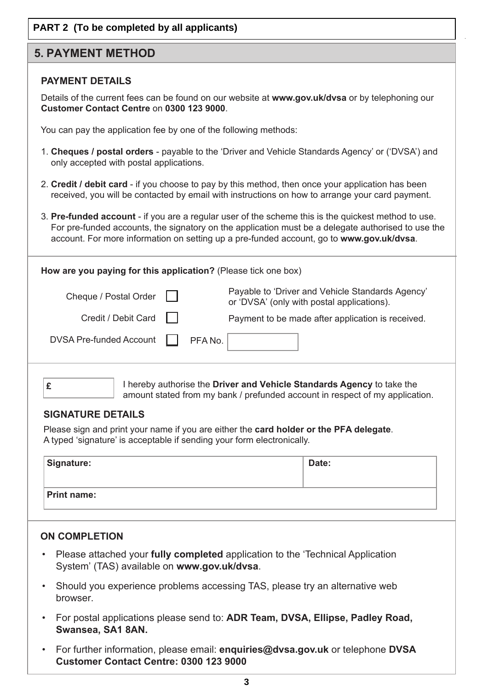## **PART 2 (To be completed by all applicants)**

## **5. PAYMENT METHOD**

### **PAYMENT DETAILS**

 Details of the current fees can be found on our website at **www.gov.uk/dvsa** or by telephoning our **Customer Contact Centre** on **0300 123 9000**.

You can pay the application fee by one of the following methods:

- 1. **Cheques / postal orders** payable to the 'Driver and Vehicle Standards Agency' or ('DVSA') and only accepted with postal applications.
- 2. **Credit / debit card** if you choose to pay by this method, then once your application has been received, you will be contacted by email with instructions on how to arrange your card payment.
- 3. **Pre-funded account** if you are a regular user of the scheme this is the quickest method to use. For pre-funded accounts, the signatory on the application must be a delegate authorised to use the account. For more information on setting up a pre-funded account, go to **www.gov.uk/dvsa**.

| How are you paying for this application? (Please tick one box)         |         |                                                                                                |
|------------------------------------------------------------------------|---------|------------------------------------------------------------------------------------------------|
| Cheque / Postal Order                                                  |         | Payable to 'Driver and Vehicle Standards Agency'<br>or 'DVSA' (only with postal applications). |
| Credit / Debit Card                                                    |         | Payment to be made after application is received.                                              |
| <b>DVSA Pre-funded Account</b>                                         | PFA No. |                                                                                                |
| I hereby authorise the Driver and Vehicle Standards Agency to take the |         |                                                                                                |

I hereby authorise the **Driver and Vehicle Standards Agency** to take the amount stated from my bank / prefunded account in respect of my application.

#### **SIGNATURE DETAILS**

Please sign and print your name if you are either the **card holder or the PFA delegate**. A typed 'signature' is acceptable if sending your form electronically.

| Signature:         | Date: |
|--------------------|-------|
| <b>Print name:</b> |       |

#### **ON COMPLETION**

- Please attached your **fully completed** application to the 'Technical Application System' (TAS) available on **www.gov.uk/dvsa**.
- Should you experience problems accessing TAS, please try an alternative web browser.
- For postal applications please send to: **ADR Team, DVSA, Ellipse, Padley Road, Swansea, SA1 8AN.**
- For further information, please email: **enquiries@dvsa.gov.uk** or telephone **DVSA Customer Contact Centre: 0300 123 9000**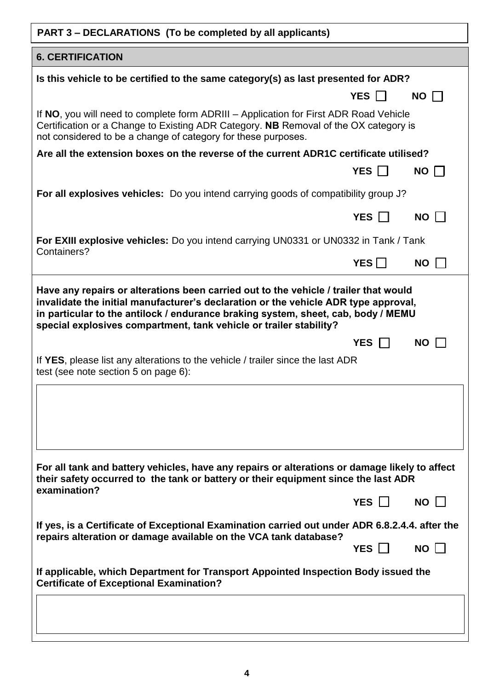| PART 3 - DECLARATIONS (To be completed by all applicants)                                                                                                                                                                                      |            |             |  |
|------------------------------------------------------------------------------------------------------------------------------------------------------------------------------------------------------------------------------------------------|------------|-------------|--|
| <b>6. CERTIFICATION</b>                                                                                                                                                                                                                        |            |             |  |
| Is this vehicle to be certified to the same category(s) as last presented for ADR?                                                                                                                                                             |            |             |  |
|                                                                                                                                                                                                                                                | YES        | $NO$ $\Box$ |  |
| If NO, you will need to complete form ADRIII – Application for First ADR Road Vehicle<br>Certification or a Change to Existing ADR Category. NB Removal of the OX category is<br>not considered to be a change of category for these purposes. |            |             |  |
| Are all the extension boxes on the reverse of the current ADR1C certificate utilised?                                                                                                                                                          |            |             |  |
|                                                                                                                                                                                                                                                | YES $\Box$ | $NO$ $\Box$ |  |
| For all explosives vehicles: Do you intend carrying goods of compatibility group J?                                                                                                                                                            |            |             |  |
|                                                                                                                                                                                                                                                | YES $\Box$ | NO          |  |
| For EXIII explosive vehicles: Do you intend carrying UN0331 or UN0332 in Tank / Tank                                                                                                                                                           |            |             |  |
| Containers?                                                                                                                                                                                                                                    | YES $\Box$ | <b>NO</b>   |  |
| special explosives compartment, tank vehicle or trailer stability?<br>If YES, please list any alterations to the vehicle / trailer since the last ADR<br>test (see note section 5 on page 6):                                                  | YES $\Box$ | $NO$ $\Box$ |  |
| For all tank and battery vehicles, have any repairs or alterations or damage likely to affect<br>their safety occurred to the tank or battery or their equipment since the last ADR<br>examination?                                            |            |             |  |
|                                                                                                                                                                                                                                                | YES        | $NO$ $\Box$ |  |
| If yes, is a Certificate of Exceptional Examination carried out under ADR 6.8.2.4.4. after the                                                                                                                                                 |            |             |  |
| repairs alteration or damage available on the VCA tank database?                                                                                                                                                                               | YES        | $NO \perp$  |  |
| If applicable, which Department for Transport Appointed Inspection Body issued the<br><b>Certificate of Exceptional Examination?</b>                                                                                                           |            |             |  |
|                                                                                                                                                                                                                                                |            |             |  |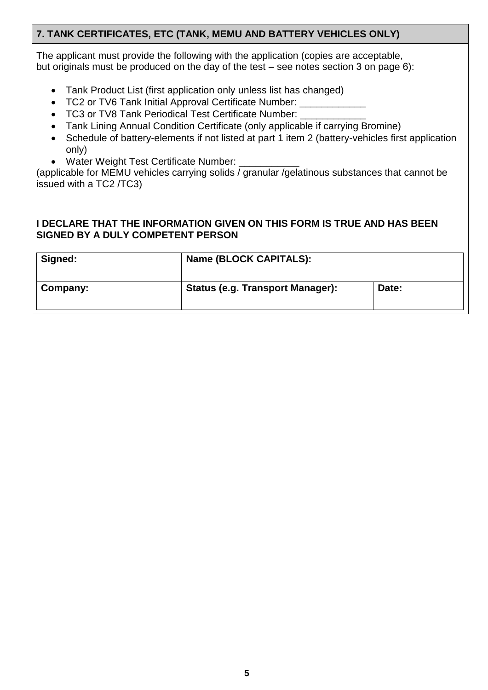## **7. TANK CERTIFICATES, ETC (TANK, MEMU AND BATTERY VEHICLES ONLY)**

The applicant must provide the following with the application (copies are acceptable, but originals must be produced on the day of the test – see notes section 3 on page 6):

- Tank Product List (first application only unless list has changed)
- TC2 or TV6 Tank Initial Approval Certificate Number:
- TC3 or TV8 Tank Periodical Test Certificate Number:
- Tank Lining Annual Condition Certificate (only applicable if carrying Bromine)
- Schedule of battery-elements if not listed at part 1 item 2 (battery-vehicles first application only)
- Water Weight Test Certificate Number:

(applicable for MEMU vehicles carrying solids / granular /gelatinous substances that cannot be issued with a TC2 /TC3)

#### **I DECLARE THAT THE INFORMATION GIVEN ON THIS FORM IS TRUE AND HAS BEEN SIGNED BY A DULY COMPETENT PERSON**

| Signed:  | Name (BLOCK CAPITALS):                  |       |
|----------|-----------------------------------------|-------|
| Company: | <b>Status (e.g. Transport Manager):</b> | Date: |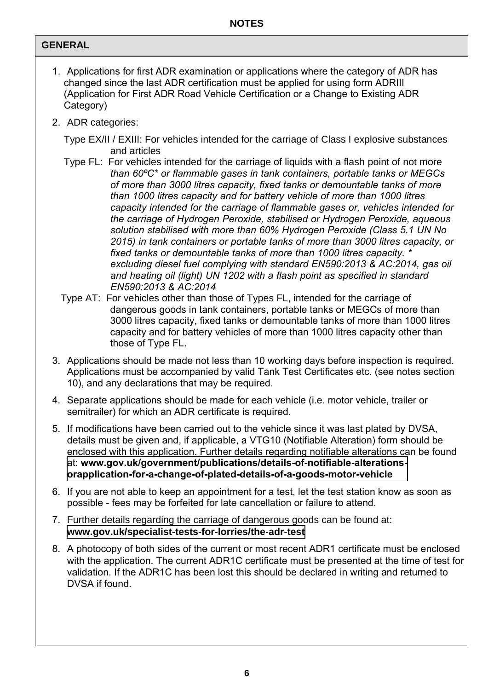## **GENERAL**

- 1. Applications for first ADR examination or applications where the category of ADR has changed since the last ADR certification must be applied for using form ADRIII (Application for First ADR Road Vehicle Certification or a Change to Existing ADR Category)
- 2. ADR categories:

Type EX/II / EXIII: For vehicles intended for the carriage of Class I explosive substances and articles

- Type FL: For vehicles intended for the carriage of liquids with a flash point of not more *than 60ºC\* or flammable gases in tank containers, portable tanks or MEGCs of more than 3000 litres capacity, fixed tanks or demountable tanks of more than 1000 litres capacity and for battery vehicle of more than 1000 litres capacity intended for the carriage of flammable gases or, vehicles intended for the carriage of Hydrogen Peroxide, stabilised or Hydrogen Peroxide, aqueous solution stabilised with more than 60% Hydrogen Peroxide (Class 5.1 UN No 2015) in tank containers or portable tanks of more than 3000 litres capacity, or fixed tanks or demountable tanks of more than 1000 litres capacity. \* excluding diesel fuel complying with standard EN590:2013 & AC:2014, gas oil and heating oil (light) UN 1202 with a flash point as specified in standard EN590:2013 & AC:2014*
- Type AT: For vehicles other than those of Types FL, intended for the carriage of dangerous goods in tank containers, portable tanks or MEGCs of more than 3000 litres capacity, fixed tanks or demountable tanks of more than 1000 litres capacity and for battery vehicles of more than 1000 litres capacity other than those of Type FL.
- 3. Applications should be made not less than 10 working days before inspection is required. Applications must be accompanied by valid Tank Test Certificates etc. (see notes section 10), and any declarations that may be required.
- 4. Separate applications should be made for each vehicle (i.e. motor vehicle, trailer or semitrailer) for which an ADR certificate is required.
- 5. If modifications have been carried out to the vehicle since it was last plated by DVSA, details must be given and, if applicable, a VTG10 (Notifiable Alteration) form should be enclosed with this application. Further details regarding notifiable alterations can be found at: **[www.gov.uk/government/publications/details-of-notifiable-alterations](www.gov.uk/government/publications/details-of-notifiable-alterations-orapplication-for-a-change-of-plated-details-of-a-goods-motor-vehicle)[orapplication-for-a-change-of-plated-details-of-a-goods-motor-vehicle](www.gov.uk/government/publications/details-of-notifiable-alterations-or-application-for-a-change-of-plated-details-of-a-goods-motor-vehicle)**
- 6. If you are not able to keep an appointment for a test, let the test station know as soon as possible - fees may be forfeited for late cancellation or failure to attend.
- 7. Further details regarding the carriage of dangerous goods can be found at: **<www.gov.uk/specialist-tests-for-lorries/the-adr-test>**
- 8. A photocopy of both sides of the current or most recent ADR1 certificate must be enclosed with the application. The current ADR1C certificate must be presented at the time of test for validation. If the ADR1C has been lost this should be declared in writing and returned to DVSA if found.